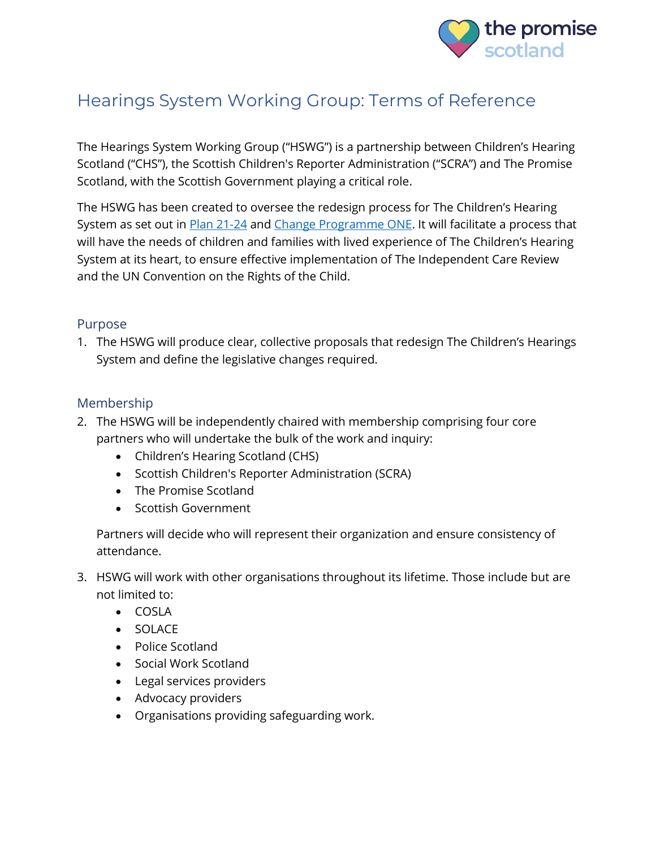

# Hearings System Working Group: Terms of Reference

The Hearings System Working Group ("HSWG") is a partnership between Children's Hearing Scotland ("CHS"), the Scottish Children's Reporter Administration ("SCRA") and The Promise Scotland, with the Scottish Government playing a critical role.

The HSWG has been created to oversee the redesign process for The Children's Hearing System as set out in [Plan 21-24](https://thepromise.scot/plan-21-24-pdf-spread.pdf) and [Change Programme ONE.](https://thepromise.scot/building-capacity) It will facilitate a process that will have the needs of children and families with lived experience of The Children's Hearing System at its heart, to ensure effective implementation of The Independent Care Review and the UN Convention on the Rights of the Child.

#### Purpose

1. The HSWG will produce clear, collective proposals that redesign The Children's Hearings System and define the legislative changes required.

### Membership

- 2. The HSWG will be independently chaired with membership comprising four core partners who will undertake the bulk of the work and inquiry:
	- Children's Hearing Scotland (CHS)
	- Scottish Children's Reporter Administration (SCRA)
	- The Promise Scotland
	- Scottish Government

Partners will decide who will represent their organization and ensure consistency of attendance.

- 3. HSWG will work with other organisations throughout its lifetime. Those include but are not limited to:
	- COSLA
	- SOLACE
	- Police Scotland
	- Social Work Scotland
	- Legal services providers
	- Advocacy providers
	- Organisations providing safeguarding work.